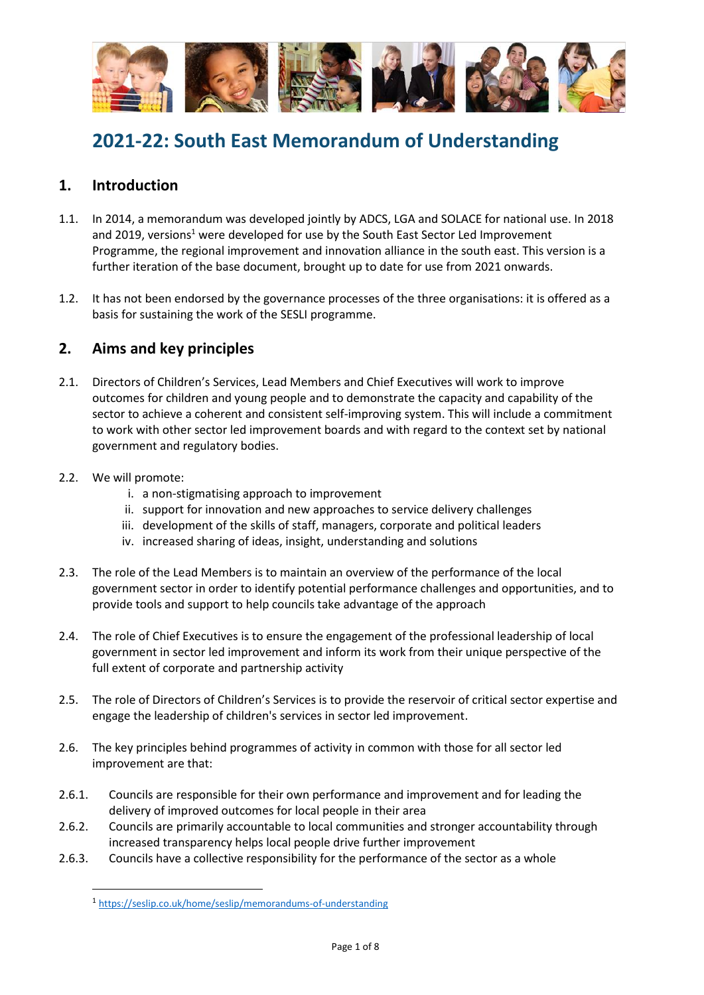

# **2021-22: South East Memorandum of Understanding**

### **1. Introduction**

- 1.1. In 2014, a memorandum was developed jointly by ADCS, LGA and SOLACE for national use. In 2018 and 2019, versions<sup>1</sup> were developed for use by the South East Sector Led Improvement Programme, the regional improvement and innovation alliance in the south east. This version is a further iteration of the base document, brought up to date for use from 2021 onwards.
- 1.2. It has not been endorsed by the governance processes of the three organisations: it is offered as a basis for sustaining the work of the SESLI programme.

## **2. Aims and key principles**

- 2.1. Directors of Children's Services, Lead Members and Chief Executives will work to improve outcomes for children and young people and to demonstrate the capacity and capability of the sector to achieve a coherent and consistent self-improving system. This will include a commitment to work with other sector led improvement boards and with regard to the context set by national government and regulatory bodies.
- 2.2. We will promote:
	- i. a non-stigmatising approach to improvement
	- ii. support for innovation and new approaches to service delivery challenges
	- iii. development of the skills of staff, managers, corporate and political leaders
	- iv. increased sharing of ideas, insight, understanding and solutions
- 2.3. The role of the Lead Members is to maintain an overview of the performance of the local government sector in order to identify potential performance challenges and opportunities, and to provide tools and support to help councils take advantage of the approach
- 2.4. The role of Chief Executives is to ensure the engagement of the professional leadership of local government in sector led improvement and inform its work from their unique perspective of the full extent of corporate and partnership activity
- 2.5. The role of Directors of Children's Services is to provide the reservoir of critical sector expertise and engage the leadership of children's services in sector led improvement.
- 2.6. The key principles behind programmes of activity in common with those for all sector led improvement are that:
- 2.6.1. Councils are responsible for their own performance and improvement and for leading the delivery of improved outcomes for local people in their area
- 2.6.2. Councils are primarily accountable to local communities and stronger accountability through increased transparency helps local people drive further improvement
- 2.6.3. Councils have a collective responsibility for the performance of the sector as a whole

<sup>1</sup> <https://seslip.co.uk/home/seslip/memorandums-of-understanding>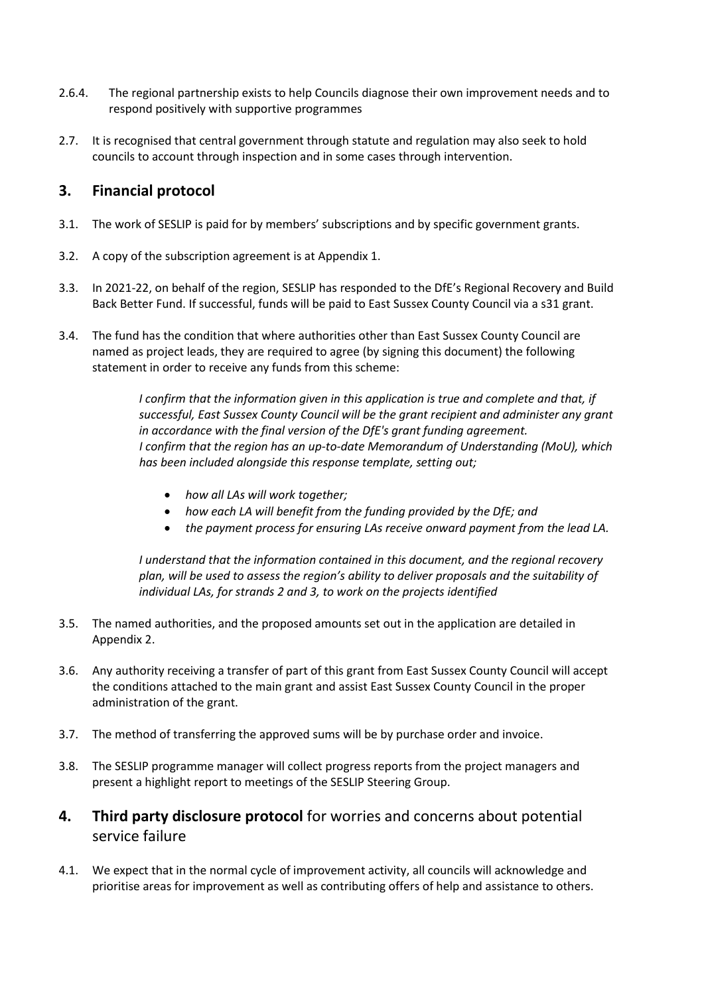- 2.6.4. The regional partnership exists to help Councils diagnose their own improvement needs and to respond positively with supportive programmes
- 2.7. It is recognised that central government through statute and regulation may also seek to hold councils to account through inspection and in some cases through intervention.

#### **3. Financial protocol**

- 3.1. The work of SESLIP is paid for by members' subscriptions and by specific government grants.
- 3.2. A copy of the subscription agreement is at Appendix 1.
- 3.3. In 2021-22, on behalf of the region, SESLIP has responded to the DfE's Regional Recovery and Build Back Better Fund. If successful, funds will be paid to East Sussex County Council via a s31 grant.
- 3.4. The fund has the condition that where authorities other than East Sussex County Council are named as project leads, they are required to agree (by signing this document) the following statement in order to receive any funds from this scheme:

*I confirm that the information given in this application is true and complete and that, if successful, East Sussex County Council will be the grant recipient and administer any grant in accordance with the final version of the DfE's grant funding agreement. I confirm that the region has an up-to-date Memorandum of Understanding (MoU), which has been included alongside this response template, setting out;*

- *how all LAs will work together;*
- *how each LA will benefit from the funding provided by the DfE; and*
- *the payment process for ensuring LAs receive onward payment from the lead LA.*

*I understand that the information contained in this document, and the regional recovery plan, will be used to assess the region's ability to deliver proposals and the suitability of individual LAs, for strands 2 and 3, to work on the projects identified*

- 3.5. The named authorities, and the proposed amounts set out in the application are detailed in Appendix 2.
- 3.6. Any authority receiving a transfer of part of this grant from East Sussex County Council will accept the conditions attached to the main grant and assist East Sussex County Council in the proper administration of the grant.
- 3.7. The method of transferring the approved sums will be by purchase order and invoice.
- 3.8. The SESLIP programme manager will collect progress reports from the project managers and present a highlight report to meetings of the SESLIP Steering Group.

#### **4. Third party disclosure protocol** for worries and concerns about potential service failure

4.1. We expect that in the normal cycle of improvement activity, all councils will acknowledge and prioritise areas for improvement as well as contributing offers of help and assistance to others.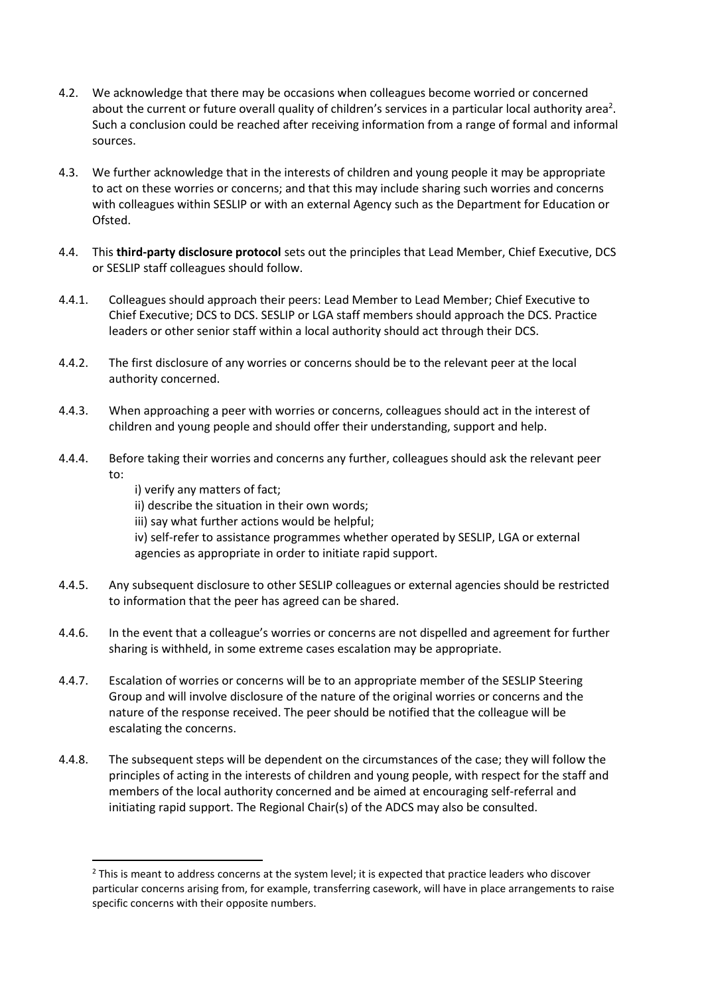- 4.2. We acknowledge that there may be occasions when colleagues become worried or concerned about the current or future overall quality of children's services in a particular local authority area<sup>2</sup>. Such a conclusion could be reached after receiving information from a range of formal and informal sources.
- 4.3. We further acknowledge that in the interests of children and young people it may be appropriate to act on these worries or concerns; and that this may include sharing such worries and concerns with colleagues within SESLIP or with an external Agency such as the Department for Education or Ofsted.
- 4.4. This **third-party disclosure protocol** sets out the principles that Lead Member, Chief Executive, DCS or SESLIP staff colleagues should follow.
- 4.4.1. Colleagues should approach their peers: Lead Member to Lead Member; Chief Executive to Chief Executive; DCS to DCS. SESLIP or LGA staff members should approach the DCS. Practice leaders or other senior staff within a local authority should act through their DCS.
- 4.4.2. The first disclosure of any worries or concerns should be to the relevant peer at the local authority concerned.
- 4.4.3. When approaching a peer with worries or concerns, colleagues should act in the interest of children and young people and should offer their understanding, support and help.
- 4.4.4. Before taking their worries and concerns any further, colleagues should ask the relevant peer to:

i) verify any matters of fact;

ii) describe the situation in their own words;

- iii) say what further actions would be helpful;
- iv) self-refer to assistance programmes whether operated by SESLIP, LGA or external agencies as appropriate in order to initiate rapid support.
- 4.4.5. Any subsequent disclosure to other SESLIP colleagues or external agencies should be restricted to information that the peer has agreed can be shared.
- 4.4.6. In the event that a colleague's worries or concerns are not dispelled and agreement for further sharing is withheld, in some extreme cases escalation may be appropriate.
- 4.4.7. Escalation of worries or concerns will be to an appropriate member of the SESLIP Steering Group and will involve disclosure of the nature of the original worries or concerns and the nature of the response received. The peer should be notified that the colleague will be escalating the concerns.
- 4.4.8. The subsequent steps will be dependent on the circumstances of the case; they will follow the principles of acting in the interests of children and young people, with respect for the staff and members of the local authority concerned and be aimed at encouraging self-referral and initiating rapid support. The Regional Chair(s) of the ADCS may also be consulted.

<sup>&</sup>lt;sup>2</sup> This is meant to address concerns at the system level; it is expected that practice leaders who discover particular concerns arising from, for example, transferring casework, will have in place arrangements to raise specific concerns with their opposite numbers.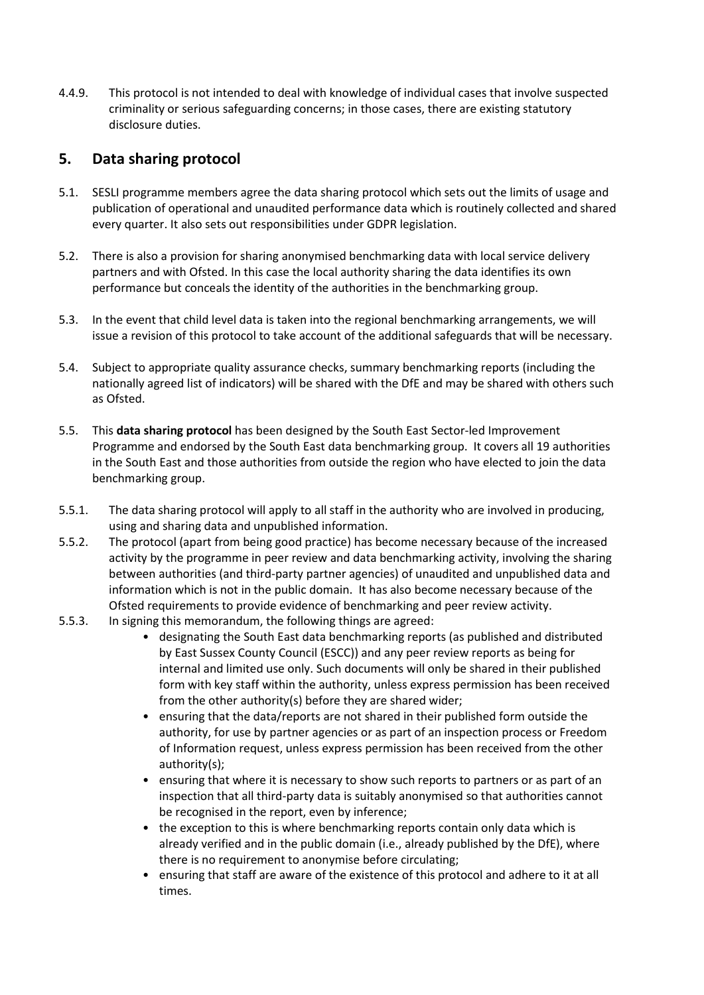4.4.9. This protocol is not intended to deal with knowledge of individual cases that involve suspected criminality or serious safeguarding concerns; in those cases, there are existing statutory disclosure duties.

#### **5. Data sharing protocol**

- 5.1. SESLI programme members agree the data sharing protocol which sets out the limits of usage and publication of operational and unaudited performance data which is routinely collected and shared every quarter. It also sets out responsibilities under GDPR legislation.
- 5.2. There is also a provision for sharing anonymised benchmarking data with local service delivery partners and with Ofsted. In this case the local authority sharing the data identifies its own performance but conceals the identity of the authorities in the benchmarking group.
- 5.3. In the event that child level data is taken into the regional benchmarking arrangements, we will issue a revision of this protocol to take account of the additional safeguards that will be necessary.
- 5.4. Subject to appropriate quality assurance checks, summary benchmarking reports (including the nationally agreed list of indicators) will be shared with the DfE and may be shared with others such as Ofsted.
- 5.5. This **data sharing protocol** has been designed by the South East Sector-led Improvement Programme and endorsed by the South East data benchmarking group. It covers all 19 authorities in the South East and those authorities from outside the region who have elected to join the data benchmarking group.
- 5.5.1. The data sharing protocol will apply to all staff in the authority who are involved in producing, using and sharing data and unpublished information.
- 5.5.2. The protocol (apart from being good practice) has become necessary because of the increased activity by the programme in peer review and data benchmarking activity, involving the sharing between authorities (and third-party partner agencies) of unaudited and unpublished data and information which is not in the public domain. It has also become necessary because of the Ofsted requirements to provide evidence of benchmarking and peer review activity.
- 5.5.3. In signing this memorandum, the following things are agreed:
	- designating the South East data benchmarking reports (as published and distributed by East Sussex County Council (ESCC)) and any peer review reports as being for internal and limited use only. Such documents will only be shared in their published form with key staff within the authority, unless express permission has been received from the other authority(s) before they are shared wider;
	- ensuring that the data/reports are not shared in their published form outside the authority, for use by partner agencies or as part of an inspection process or Freedom of Information request, unless express permission has been received from the other authority(s);
	- ensuring that where it is necessary to show such reports to partners or as part of an inspection that all third-party data is suitably anonymised so that authorities cannot be recognised in the report, even by inference;
	- the exception to this is where benchmarking reports contain only data which is already verified and in the public domain (i.e., already published by the DfE), where there is no requirement to anonymise before circulating;
	- ensuring that staff are aware of the existence of this protocol and adhere to it at all times.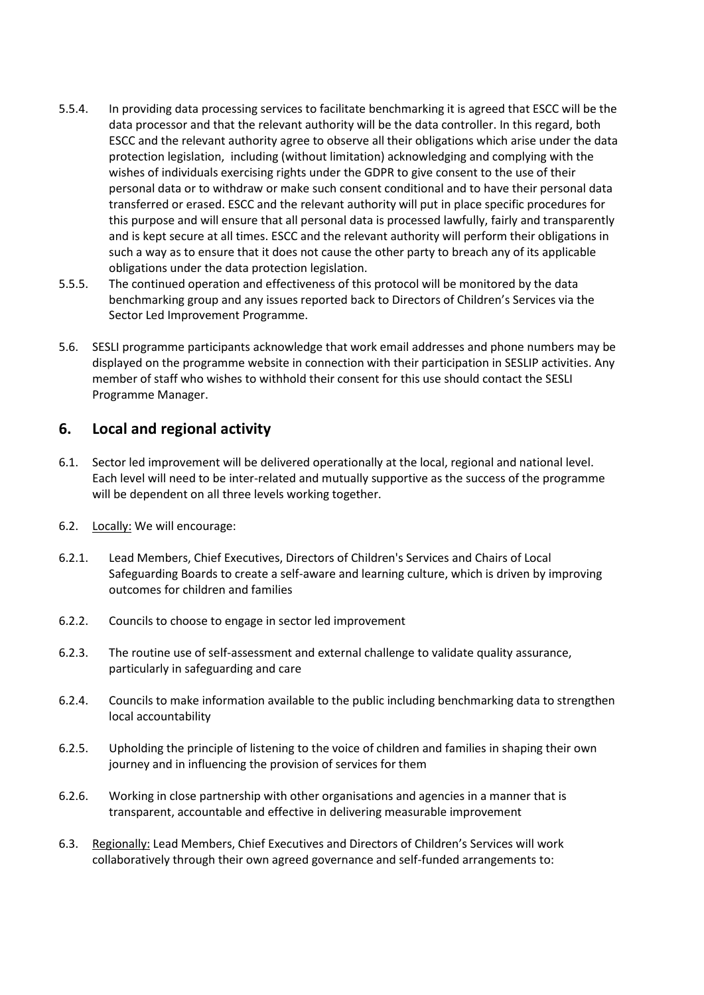- 5.5.4. In providing data processing services to facilitate benchmarking it is agreed that ESCC will be the data processor and that the relevant authority will be the data controller. In this regard, both ESCC and the relevant authority agree to observe all their obligations which arise under the data protection legislation, including (without limitation) acknowledging and complying with the wishes of individuals exercising rights under the GDPR to give consent to the use of their personal data or to withdraw or make such consent conditional and to have their personal data transferred or erased. ESCC and the relevant authority will put in place specific procedures for this purpose and will ensure that all personal data is processed lawfully, fairly and transparently and is kept secure at all times. ESCC and the relevant authority will perform their obligations in such a way as to ensure that it does not cause the other party to breach any of its applicable obligations under the data protection legislation.
- 5.5.5. The continued operation and effectiveness of this protocol will be monitored by the data benchmarking group and any issues reported back to Directors of Children's Services via the Sector Led Improvement Programme.
- 5.6. SESLI programme participants acknowledge that work email addresses and phone numbers may be displayed on the programme website in connection with their participation in SESLIP activities. Any member of staff who wishes to withhold their consent for this use should contact the SESLI Programme Manager.

#### **6. Local and regional activity**

- 6.1. Sector led improvement will be delivered operationally at the local, regional and national level. Each level will need to be inter-related and mutually supportive as the success of the programme will be dependent on all three levels working together.
- 6.2. Locally: We will encourage:
- 6.2.1. Lead Members, Chief Executives, Directors of Children's Services and Chairs of Local Safeguarding Boards to create a self-aware and learning culture, which is driven by improving outcomes for children and families
- 6.2.2. Councils to choose to engage in sector led improvement
- 6.2.3. The routine use of self-assessment and external challenge to validate quality assurance, particularly in safeguarding and care
- 6.2.4. Councils to make information available to the public including benchmarking data to strengthen local accountability
- 6.2.5. Upholding the principle of listening to the voice of children and families in shaping their own journey and in influencing the provision of services for them
- 6.2.6. Working in close partnership with other organisations and agencies in a manner that is transparent, accountable and effective in delivering measurable improvement
- 6.3. Regionally: Lead Members, Chief Executives and Directors of Children's Services will work collaboratively through their own agreed governance and self-funded arrangements to: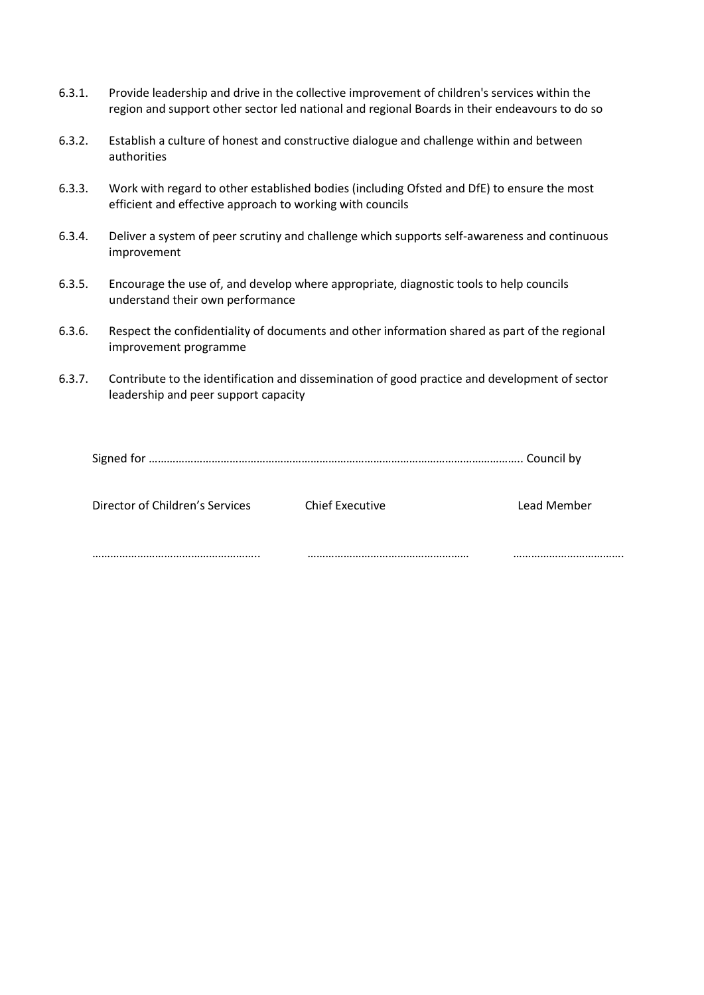- 6.3.1. Provide leadership and drive in the collective improvement of children's services within the region and support other sector led national and regional Boards in their endeavours to do so
- 6.3.2. Establish a culture of honest and constructive dialogue and challenge within and between authorities
- 6.3.3. Work with regard to other established bodies (including Ofsted and DfE) to ensure the most efficient and effective approach to working with councils
- 6.3.4. Deliver a system of peer scrutiny and challenge which supports self-awareness and continuous improvement
- 6.3.5. Encourage the use of, and develop where appropriate, diagnostic tools to help councils understand their own performance
- 6.3.6. Respect the confidentiality of documents and other information shared as part of the regional improvement programme
- 6.3.7. Contribute to the identification and dissemination of good practice and development of sector leadership and peer support capacity

| Director of Children's Services | <b>Chief Executive</b> | Lead Member |
|---------------------------------|------------------------|-------------|
|                                 |                        |             |
|                                 |                        |             |
|                                 |                        |             |

……………………………………………….. ……………………………………………… ……………………………….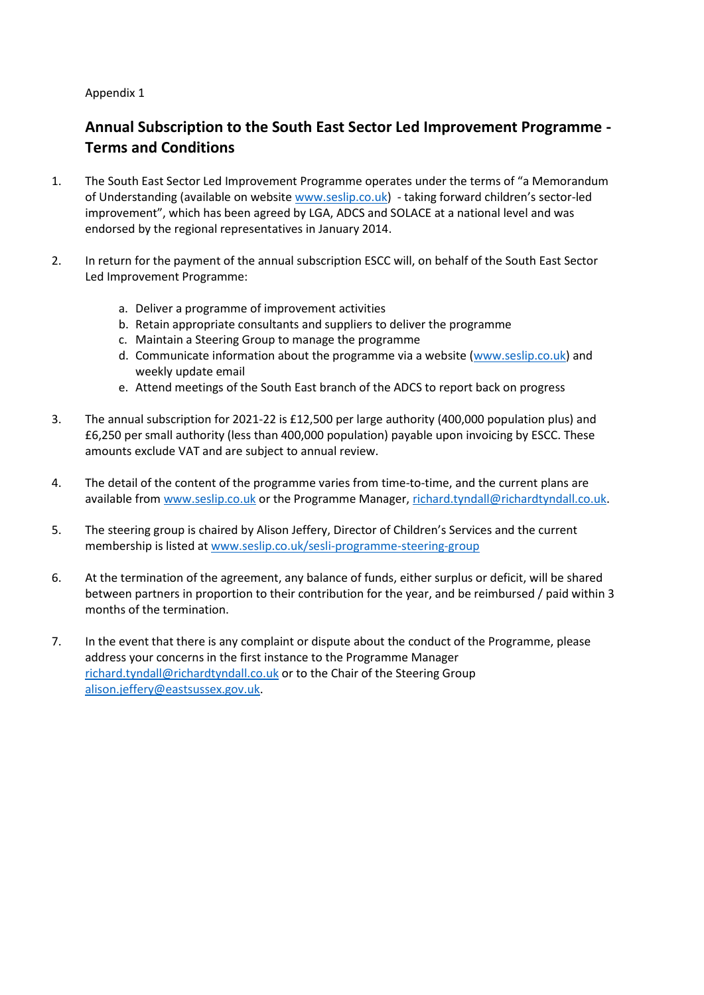#### Appendix 1

# **Annual Subscription to the South East Sector Led Improvement Programme - Terms and Conditions**

- 1. The South East Sector Led Improvement Programme operates under the terms of "a Memorandum of Understanding (available on website [www.seslip.co.uk\)](http://www.seslip.co.uk/) - taking forward children's sector-led improvement", which has been agreed by LGA, ADCS and SOLACE at a national level and was endorsed by the regional representatives in January 2014.
- 2. In return for the payment of the annual subscription ESCC will, on behalf of the South East Sector Led Improvement Programme:
	- a. Deliver a programme of improvement activities
	- b. Retain appropriate consultants and suppliers to deliver the programme
	- c. Maintain a Steering Group to manage the programme
	- d. Communicate information about the programme via a website [\(www.seslip.co.uk\)](http://www.seslip.co.uk/) and weekly update email
	- e. Attend meetings of the South East branch of the ADCS to report back on progress
- 3. The annual subscription for 2021-22 is £12,500 per large authority (400,000 population plus) and £6,250 per small authority (less than 400,000 population) payable upon invoicing by ESCC. These amounts exclude VAT and are subject to annual review.
- 4. The detail of the content of the programme varies from time-to-time, and the current plans are available from [www.seslip.co.uk](http://www.seslip.co.uk/) or the Programme Manager, [richard.tyndall@richardtyndall.co.uk.](mailto:richard.tyndall@richardtyndall.co.uk)
- 5. The steering group is chaired by Alison Jeffery, Director of Children's Services and the current membership is listed a[t www.seslip.co.uk/sesli-programme-steering-group](http://www.seslip.co.uk/sesli-programme-steering-group)
- 6. At the termination of the agreement, any balance of funds, either surplus or deficit, will be shared between partners in proportion to their contribution for the year, and be reimbursed / paid within 3 months of the termination.
- 7. In the event that there is any complaint or dispute about the conduct of the Programme, please address your concerns in the first instance to the Programme Manager [richard.tyndall@richardtyndall.co.uk](mailto:richard.tyndall@richardtyndall.co.uk) or to the Chair of the Steering Group [alison.jeffery@eastsussex.gov.uk.](mailto:alison.jeffery@eastsussex.gov.uk)